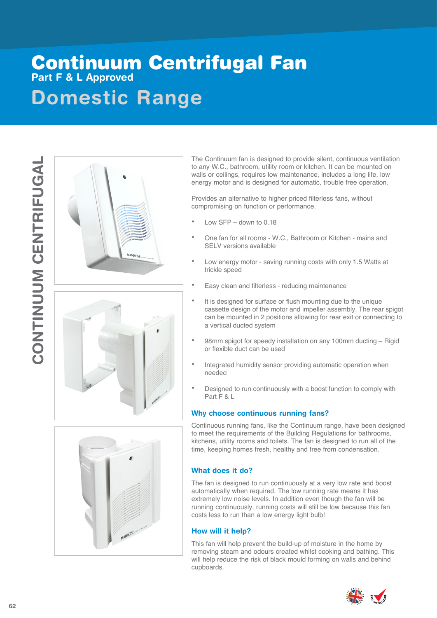## **Domestic Range** Continuum Centrifugal Fan **Part F & L Approved**









The Continuum fan is designed to provide silent, continuous ventilation to any W.C., bathroom, utility room or kitchen. It can be mounted on walls or ceilings, requires low maintenance, includes a long life, low energy motor and is designed for automatic, trouble free operation.

Provides an alternative to higher priced filterless fans, without compromising on function or performance.

- Low  $SFP -$  down to 0.18
- One fan for all rooms W.C., Bathroom or Kitchen mains and SELV versions available
- Low energy motor saving running costs with only 1.5 Watts at trickle speed
- Easy clean and filterless reducing maintenance
- It is designed for surface or flush mounting due to the unique cassette design of the motor and impeller assembly. The rear spigot can be mounted in 2 positions allowing for rear exit or connecting to a vertical ducted system
- 98mm spigot for speedy installation on any 100mm ducting Rigid or flexible duct can be used
- Integrated humidity sensor providing automatic operation when needed
- Designed to run continuously with a boost function to comply with Part F & L

#### **Why choose continuous running fans?**

Continuous running fans, like the Continuum range, have been designed to meet the requirements of the Building Regulations for bathrooms, kitchens, utility rooms and toilets. The fan is designed to run all of the time, keeping homes fresh, healthy and free from condensation.

#### **What does it do?**

The fan is designed to run continuously at a very low rate and boost automatically when required. The low running rate means it has extremely low noise levels. In addition even though the fan will be running continuously, running costs will still be low because this fan costs less to run than a low energy light bulb!

#### **How will it help?**

This fan will help prevent the build-up of moisture in the home by removing steam and odours created whilst cooking and bathing. This will help reduce the risk of black mould forming on walls and behind cupboards.